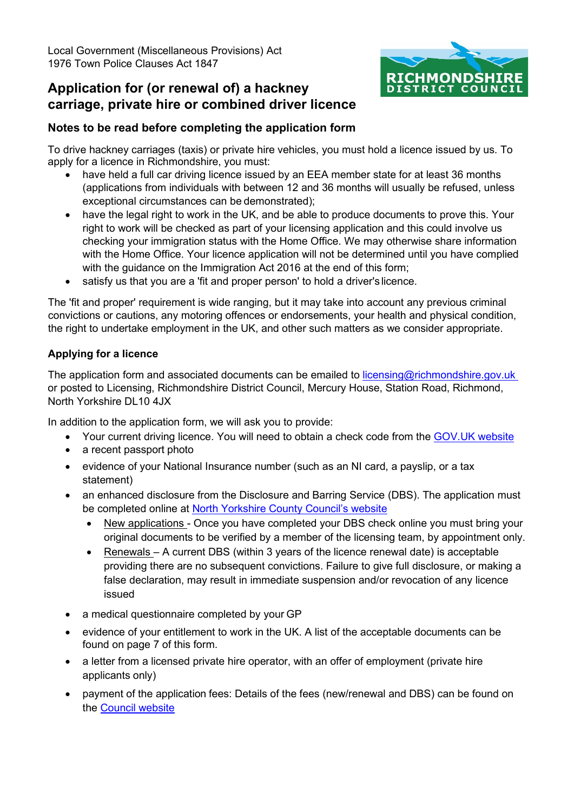# **Application for (or renewal of) a hackney carriage, private hire or combined driver licence**



## **Notes to be read before completing the application form**

To drive hackney carriages (taxis) or private hire vehicles, you must hold a licence issued by us. To apply for a licence in Richmondshire, you must:

- have held a full car driving licence issued by an EEA member state for at least 36 months (applications from individuals with between 12 and 36 months will usually be refused, unless exceptional circumstances can be demonstrated);
- have the legal right to work in the UK, and be able to produce documents to prove this. Your right to work will be checked as part of your licensing application and this could involve us checking your immigration status with the Home Office. We may otherwise share information with the Home Office. Your licence application will not be determined until you have complied with the guidance on the Immigration Act 2016 at the end of this form;
- satisfy us that you are a 'fit and proper person' to hold a driver's licence.

The 'fit and proper' requirement is wide ranging, but it may take into account any previous criminal convictions or cautions, any motoring offences or endorsements, your health and physical condition, the right to undertake employment in the UK, and other such matters as we consider appropriate.

## **Applying for a licence**

The application form and associated documents can be emailed to licensing $@$ richmondshire.gov.uk or posted to Licensing, Richmondshire District Council, Mercury House, Station Road, Richmond, North Yorkshire DL10 4JX

In addition to the application form, we will ask you to provide:

- Your current driving licence. You will need to obtain a check code from the GOV.UK website
- a recent passport photo
- evidence of your National Insurance number (such as an NI card, a payslip, or a tax statement)
- an enhanced disclosure from the Disclosure and Barring Service (DBS). The application must be completed online at [North Yorkshire County Council's website](https://www.northyorks.gov.uk/apply-employment-check)
	- New applications Once you have completed your DBS check online you must bring your original documents to be verified by a member of the licensing team, by appointment only.
	- Renewals A current DBS (within 3 years of the licence renewal date) is acceptable providing there are no subsequent convictions. Failure to give full disclosure, or making a false declaration, may result in immediate suspension and/or revocation of any licence issued
- a medical questionnaire completed by your GP
- evidence of your entitlement to work in the UK. A list of the acceptable documents can be found on page 7 of this form.
- a letter from a licensed private hire operator, with an offer of employment (private hire applicants only)
- payment of the application fees: Details of the fees (new/renewal and DBS) can be found on the [Council website](https://www.richmondshire.gov.uk/licensing/)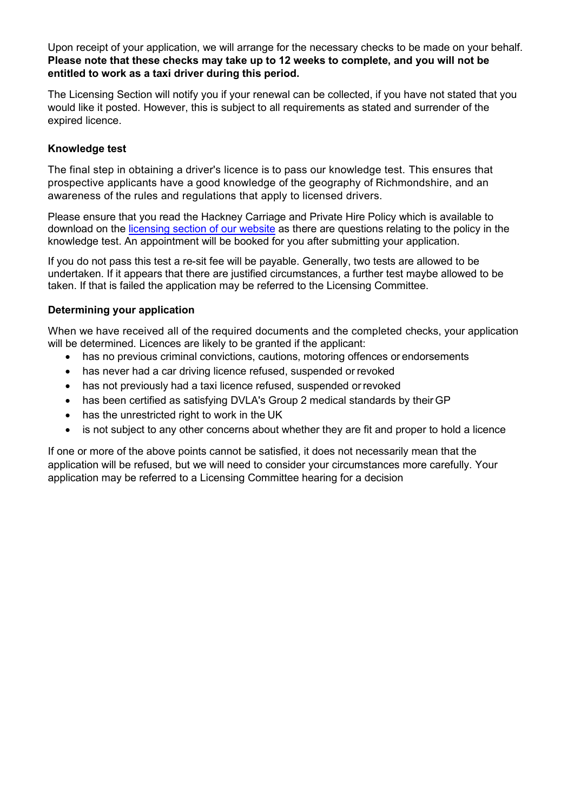Upon receipt of your application, we will arrange for the necessary checks to be made on your behalf. **Please note that these checks may take up to 12 weeks to complete, and you will not be entitled to work as a taxi driver during this period.**

The Licensing Section will notify you if your renewal can be collected, if you have not stated that you would like it posted. However, this is subject to all requirements as stated and surrender of the expired licence.

#### **Knowledge test**

The final step in obtaining a driver's licence is to pass our knowledge test. This ensures that prospective applicants have a good knowledge of the geography of Richmondshire, and an awareness of the rules and regulations that apply to licensed drivers.

Please ensure that you read the Hackney Carriage and Private Hire Policy which is available to download on the [licensing section of our website](https://www.richmondshire.gov.uk/licensing) as there are questions relating to the policy in the knowledge test. An appointment will be booked for you after submitting your application.

If you do not pass this test a re-sit fee will be payable. Generally, two tests are allowed to be undertaken. If it appears that there are justified circumstances, a further test maybe allowed to be taken. If that is failed the application may be referred to the Licensing Committee.

#### **Determining your application**

When we have received all of the required documents and the completed checks, your application will be determined. Licences are likely to be granted if the applicant:

- has no previous criminal convictions, cautions, motoring offences or endorsements
- has never had a car driving licence refused, suspended or revoked
- has not previously had a taxi licence refused, suspended or revoked
- has been certified as satisfying DVLA's Group 2 medical standards by their GP
- has the unrestricted right to work in the UK
- is not subject to any other concerns about whether they are fit and proper to hold a licence

If one or more of the above points cannot be satisfied, it does not necessarily mean that the application will be refused, but we will need to consider your circumstances more carefully. Your application may be referred to a Licensing Committee hearing for a decision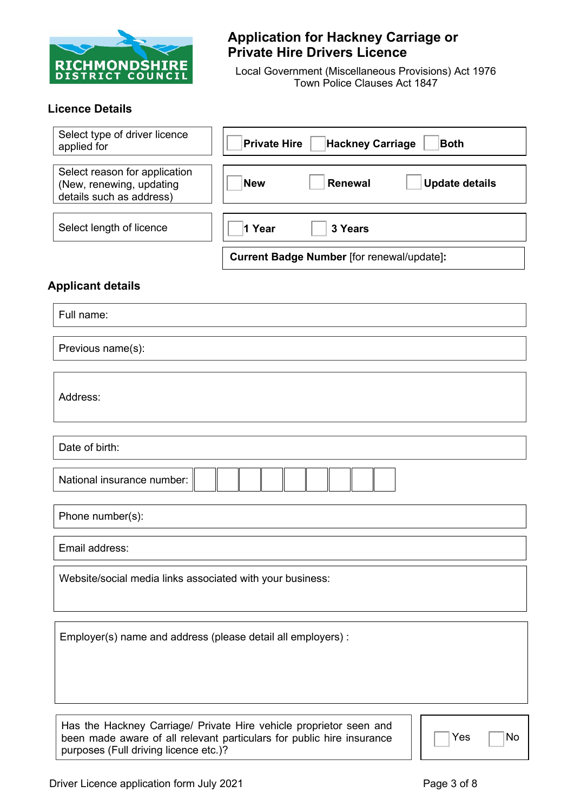

## **Application for Hackney Carriage or Private Hire Drivers Licence**

Local Government (Miscellaneous Provisions) Act 1976 Town Police Clauses Act 1847

## **Licence Details**

| Select type of driver licence<br>applied for                                          | <b>Private Hire</b><br><b>Hackney Carriage</b><br><b>Both</b> |  |  |
|---------------------------------------------------------------------------------------|---------------------------------------------------------------|--|--|
| Select reason for application<br>(New, renewing, updating<br>details such as address) | <b>Renewal</b><br><b>Update details</b><br><b>New</b>         |  |  |
| Select length of licence                                                              | 1 Year<br>3 Years                                             |  |  |
|                                                                                       | <b>Current Badge Number [for renewal/update]:</b>             |  |  |

## **Applicant details**

| . .                        |
|----------------------------|
| Full name:                 |
|                            |
| Previous name(s):          |
|                            |
| Address:                   |
|                            |
| Date of birth:             |
|                            |
| National insurance number: |
|                            |
| Phone number(s):           |
|                            |
| Email address:             |
|                            |

Website/social media links associated with your business:

Employer(s) name and address (please detail all employers) :

Has the Hackney Carriage/ Private Hire vehicle proprietor seen and been made aware of all relevant particulars for public hire insurance purposes (Full driving licence etc.)?

| Yes | No |
|-----|----|
|     |    |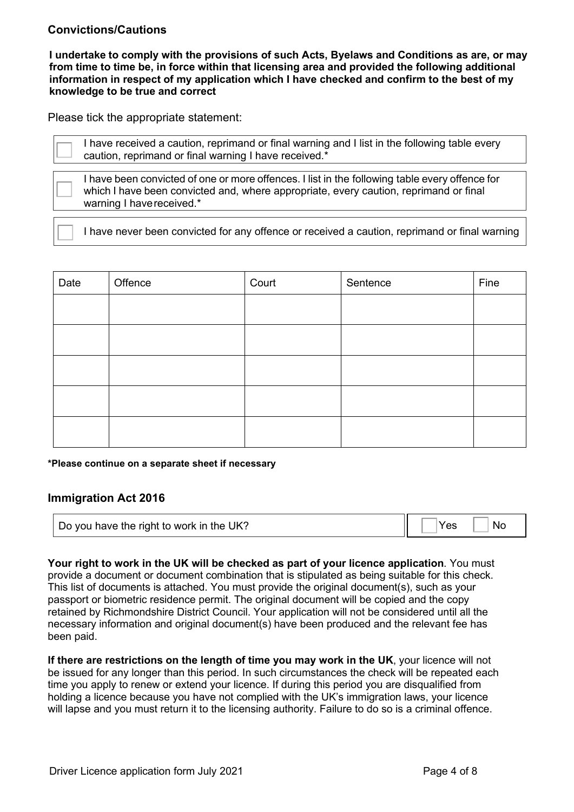#### **Convictions/Cautions**

**I undertake to comply with the provisions of such Acts, Byelaws and Conditions as are, or may from time to time be, in force within that licensing area and provided the following additional information in respect of my application which I have checked and confirm to the best of my knowledge to be true and correct**

Please tick the appropriate statement:

I have received a caution, reprimand or final warning and I list in the following table every caution, reprimand or final warning I have received.<sup>\*</sup>

I have been convicted of one or more offences. I list in the following table every offence for which I have been convicted and, where appropriate, every caution, reprimand or final warning I havereceived.\*

I have never been convicted for any offence or received a caution, reprimand or final warning

| Date | Offence | Court | Sentence | Fine |
|------|---------|-------|----------|------|
|      |         |       |          |      |
|      |         |       |          |      |
|      |         |       |          |      |
|      |         |       |          |      |
|      |         |       |          |      |

**\*Please continue on a separate sheet if necessary**

#### **Immigration Act 2016**

| Do you have the right to work in the UK? | N <sub>c</sub><br>Yes. |
|------------------------------------------|------------------------|
|------------------------------------------|------------------------|

**Your right to work in the UK will be checked as part of your licence application**. You must provide a document or document combination that is stipulated as being suitable for this check. This list of documents is attached. You must provide the original document(s), such as your passport or biometric residence permit. The original document will be copied and the copy retained by Richmondshire District Council. Your application will not be considered until all the necessary information and original document(s) have been produced and the relevant fee has been paid.

**If there are restrictions on the length of time you may work in the UK**, your licence will not be issued for any longer than this period. In such circumstances the check will be repeated each time you apply to renew or extend your licence. If during this period you are disqualified from holding a licence because you have not complied with the UK's immigration laws, your licence will lapse and you must return it to the licensing authority. Failure to do so is a criminal offence.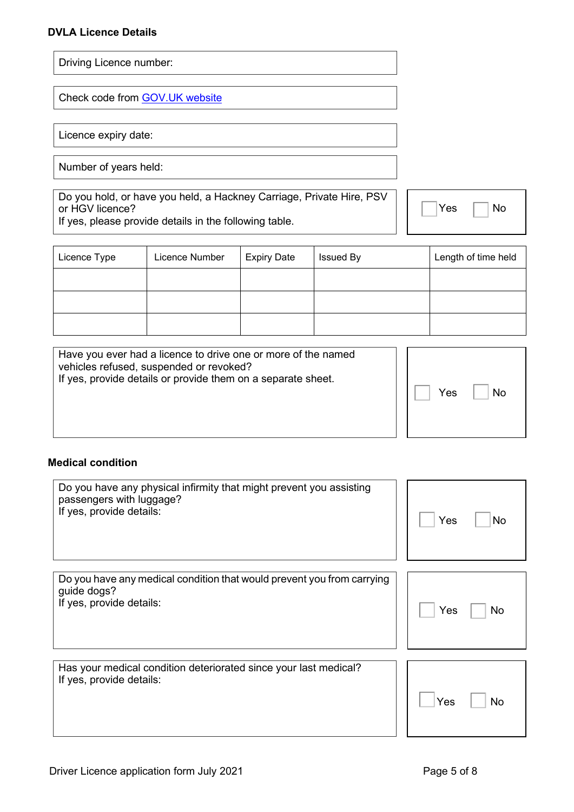#### **DVLA Licence Details**

Driving Licence number:

Check code from [GOV.UK website](https://www.gov.uk/)

Licence expiry date:

Number of years held:

Do you hold, or have you held, a Hackney Carriage, Private Hire, PSV or HGV licence? If yes, please provide details in the following table.

|  |  | Yes |  | No |  |
|--|--|-----|--|----|--|
|  |  |     |  |    |  |
|  |  |     |  |    |  |

| Licence Type | Licence Number | <b>Expiry Date</b> | <b>Issued By</b> | Length of time held |
|--------------|----------------|--------------------|------------------|---------------------|
|              |                |                    |                  |                     |
|              |                |                    |                  |                     |
|              |                |                    |                  |                     |

| Have you ever had a licence to drive one or more of the named<br>vehicles refused, suspended or revoked?<br>If yes, provide details or provide them on a separate sheet. | Yes<br>No |
|--------------------------------------------------------------------------------------------------------------------------------------------------------------------------|-----------|
|--------------------------------------------------------------------------------------------------------------------------------------------------------------------------|-----------|

## **Medical condition**

| Do you have any physical infirmity that might prevent you assisting<br>passengers with luggage?<br>If yes, provide details: | Yes<br>No |
|-----------------------------------------------------------------------------------------------------------------------------|-----------|
| Do you have any medical condition that would prevent you from carrying<br>guide dogs?<br>If yes, provide details:           | Yes<br>No |
| Has your medical condition deteriorated since your last medical?<br>If yes, provide details:                                | Yes<br>No |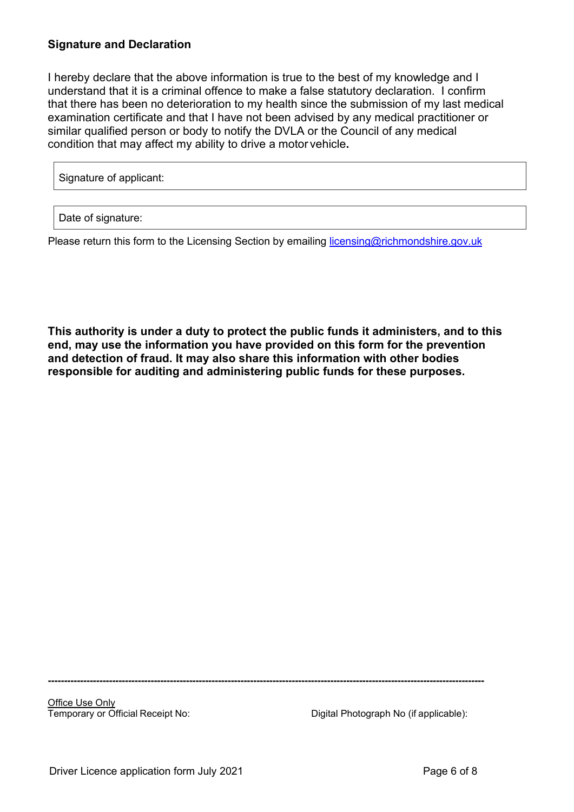## **Signature and Declaration**

I hereby declare that the above information is true to the best of my knowledge and I understand that it is a criminal offence to make a false statutory declaration. I confirm that there has been no deterioration to my health since the submission of my last medical examination certificate and that I have not been advised by any medical practitioner or similar qualified person or body to notify the DVLA or the Council of any medical condition that may affect my ability to drive a motor vehicle**.** 

Signature of applicant:

Date of signature:

Please return this form to the Licensing Section by emailing [licensing@richmondshire.gov.uk](mailto:licensing@richmondshire.gov.uk)

**This authority is under a duty to protect the public funds it administers, and to this end, may use the information you have provided on this form for the prevention and detection of fraud. It may also share this information with other bodies responsible for auditing and administering public funds for these purposes.**

**----------------------------------------------------------------------------------------------------------------------------------------**

**Office Use Only**<br>Temporary or Official Receipt No:

Digital Photograph No (if applicable):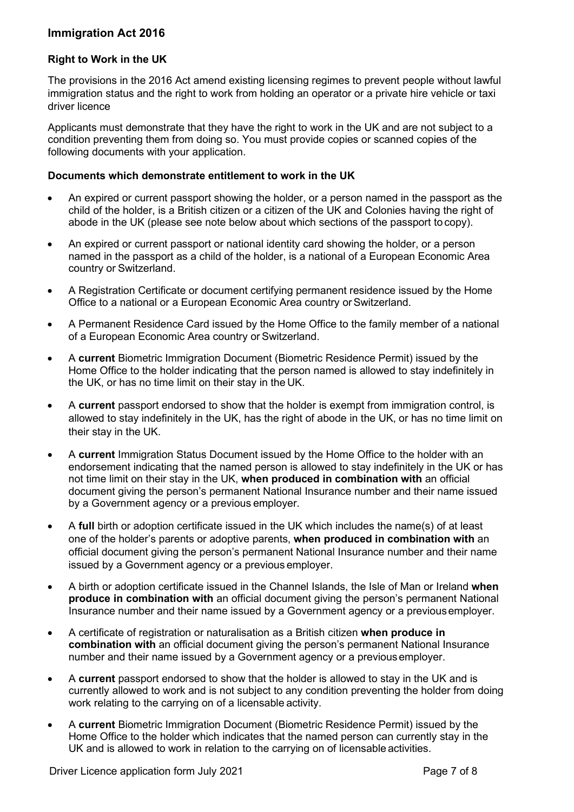## **Immigration Act 2016**

#### **Right to Work in the UK**

The provisions in the 2016 Act amend existing licensing regimes to prevent people without lawful immigration status and the right to work from holding an operator or a private hire vehicle or taxi driver licence

Applicants must demonstrate that they have the right to work in the UK and are not subject to a condition preventing them from doing so. You must provide copies or scanned copies of the following documents with your application.

#### **Documents which demonstrate entitlement to work in the UK**

- An expired or current passport showing the holder, or a person named in the passport as the child of the holder, is a British citizen or a citizen of the UK and Colonies having the right of abode in the UK (please see note below about which sections of the passport to copy).
- An expired or current passport or national identity card showing the holder, or a person named in the passport as a child of the holder, is a national of a European Economic Area country or Switzerland.
- A Registration Certificate or document certifying permanent residence issued by the Home Office to a national or a European Economic Area country or Switzerland.
- A Permanent Residence Card issued by the Home Office to the family member of a national of a European Economic Area country or Switzerland.
- A **current** Biometric Immigration Document (Biometric Residence Permit) issued by the Home Office to the holder indicating that the person named is allowed to stay indefinitely in the UK, or has no time limit on their stay in the UK.
- A **current** passport endorsed to show that the holder is exempt from immigration control, is allowed to stay indefinitely in the UK, has the right of abode in the UK, or has no time limit on their stay in the UK.
- A **current** Immigration Status Document issued by the Home Office to the holder with an endorsement indicating that the named person is allowed to stay indefinitely in the UK or has not time limit on their stay in the UK, **when produced in combination with** an official document giving the person's permanent National Insurance number and their name issued by a Government agency or a previous employer.
- A **full** birth or adoption certificate issued in the UK which includes the name(s) of at least one of the holder's parents or adoptive parents, **when produced in combination with** an official document giving the person's permanent National Insurance number and their name issued by a Government agency or a previous employer.
- A birth or adoption certificate issued in the Channel Islands, the Isle of Man or Ireland **when produce in combination with** an official document giving the person's permanent National Insurance number and their name issued by a Government agency or a previousemployer.
- A certificate of registration or naturalisation as a British citizen **when produce in combination with** an official document giving the person's permanent National Insurance number and their name issued by a Government agency or a previousemployer.
- A **current** passport endorsed to show that the holder is allowed to stay in the UK and is currently allowed to work and is not subject to any condition preventing the holder from doing work relating to the carrying on of a licensable activity.
- A **current** Biometric Immigration Document (Biometric Residence Permit) issued by the Home Office to the holder which indicates that the named person can currently stay in the UK and is allowed to work in relation to the carrying on of licensable activities.